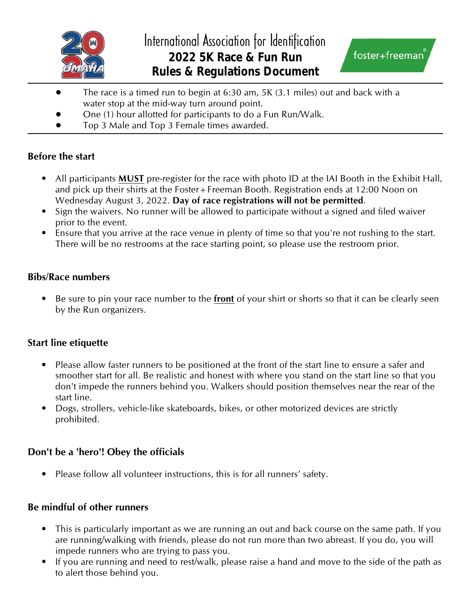



- The race is a timed run to begin at 6:30 am, 5K (3.1 miles) out and back with a water stop at the mid-way turn around point.
- One (1) hour allotted for participants to do a Fun Run/Walk.
- Top 3 Male and Top 3 Female times awarded.

## **Before the start**

- All participants **MUST** pre-register for the race with photo ID at the IAI Booth in the Exhibit Hall, and pick up their shirts at the Foster+Freeman Booth. Registration ends at 12:00 Noon on Wednesday August 3, 2022. **Day of race registrations will not be permitted**.
- Sign the waivers. No runner will be allowed to participate without a signed and filed waiver prior to the event.
- Ensure that you arrive at the race venue in plenty of time so that you're not rushing to the start. There will be no restrooms at the race starting point, so please use the restroom prior.

## **Bibs/Race numbers**

• Be sure to pin your race number to the **front** of your shirt or shorts so that it can be clearly seen by the Run organizers.

## **Start line etiquette**

- Please allow faster runners to be positioned at the front of the start line to ensure a safer and smoother start for all. Be realistic and honest with where you stand on the start line so that you don't impede the runners behind you. Walkers should position themselves near the rear of the start line.
- Dogs, strollers, vehicle-like skateboards, bikes, or other motorized devices are strictly prohibited.

# **Don't be a 'hero'! Obey the officials**

• Please follow all volunteer instructions, this is for all runners' safety.

## **Be mindful of other runners**

- This is particularly important as we are running an out and back course on the same path. If you are running/walking with friends, please do not run more than two abreast. If you do, you will impede runners who are trying to pass you.
- If you are running and need to rest/walk, please raise a hand and move to the side of the path as to alert those behind you.